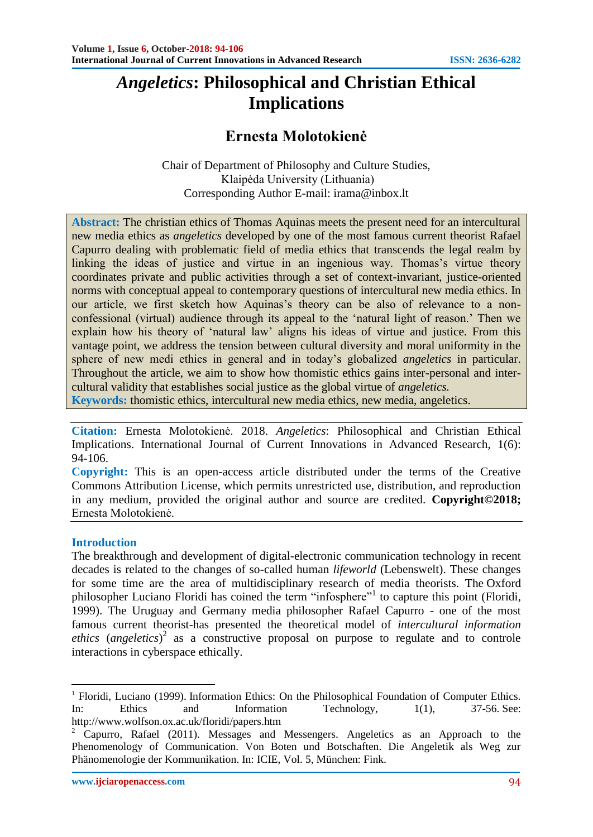# *Angeletics***: Philosophical and Christian Ethical Implications**

## **Ernesta Molotokienė**

Chair of Department of Philosophy and Culture Studies, Klaipėda University (Lithuania) Corresponding Author E-mail: [irama@inbox.lt](mailto:irama@inbox.lt)

**Abstract:** The christian ethics of Thomas Aquinas meets the present need for an intercultural new media ethics as *angeletics* developed by one of the most famous current theorist Rafael Capurro dealing with problematic field of media ethics that transcends the legal realm by linking the ideas of justice and virtue in an ingenious way. Thomas's virtue theory coordinates private and public activities through a set of context-invariant, justice-oriented norms with conceptual appeal to contemporary questions of intercultural new media ethics. In our article, we first sketch how Aquinas's theory can be also of relevance to a nonconfessional (virtual) audience through its appeal to the 'natural light of reason.' Then we explain how his theory of 'natural law' aligns his ideas of virtue and justice. From this vantage point, we address the tension between cultural diversity and moral uniformity in the sphere of new medi ethics in general and in today's globalized *angeletics* in particular. Throughout the article, we aim to show how thomistic ethics gains inter-personal and intercultural validity that establishes social justice as the global virtue of *angeletics.*

**Keywords:** thomistic ethics, intercultural new media ethics, new media, angeletics.

**Citation:** Ernesta Molotokienė. 2018. *Angeletics*: Philosophical and Christian Ethical Implications. International Journal of Current Innovations in Advanced Research, 1(6): 94-106.

**Copyright:** This is an open-access article distributed under the terms of the Creative Commons Attribution License, which permits unrestricted use, distribution, and reproduction in any medium, provided the original author and source are credited*.* **Copyright©2018;** Ernesta Molotokienė.

#### **Introduction**

1

The breakthrough and development of digital-electronic communication technology in recent decades is related to the changes of so-called human *lifeworld* (Lebenswelt). These changes for some time are the area of multidisciplinary research of media theorists. The Oxford philosopher Luciano Floridi has coined the term "infosphere"<sup>1</sup> to capture this point (Floridi, 1999). The Uruguay and Germany media philosopher Rafael Capurro - one of the most famous current theorist-has presented the theoretical model of *intercultural information ethics* (*angeletics*) 2 as a constructive proposal on purpose to regulate and to controle interactions in cyberspace ethically.

<sup>&</sup>lt;sup>1</sup> Floridi, Luciano (1999). Information Ethics: On the Philosophical Foundation of Computer Ethics. In: Ethics and Information Technology, 1(1), 37-56. See: <http://www.wolfson.ox.ac.uk/floridi/papers.htm>

<sup>2</sup> Capurro, Rafael (2011). [Messages and Messengers. Angeletics as an Approach to the](http://www.fink.de/katalog/titel/978-3-7705-5047-0.html)  [Phenomenology of Communication. Von Boten und Botschaften. Die Angeletik als Weg zur](http://www.fink.de/katalog/titel/978-3-7705-5047-0.html)  [Phänomenologie der Kommunikation.](http://www.fink.de/katalog/titel/978-3-7705-5047-0.html) In: ICIE, Vol. 5, München: Fink.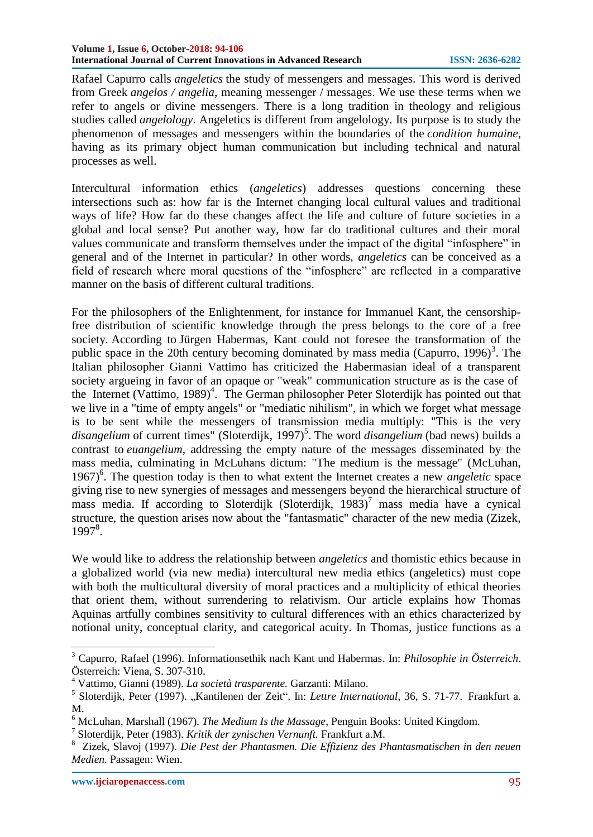Rafael Capurro calls *angeletics* the study of messengers and messages. This word is derived from Greek *angelos / angelia*, meaning messenger / messages. We use these terms when we refer to angels or divine messengers. There is a long tradition in theology and religious studies called *angelology*. Angeletics is different from angelology. Its purpose is to study the phenomenon of messages and messengers within the boundaries of the *condition humaine*, having as its primary object human communication but including technical and natural processes as well.

Intercultural information ethics (*angeletics*) addresses questions concerning these intersections such as: how far is the Internet changing local cultural values and traditional ways of life? How far do these changes affect the life and culture of future societies in a global and local sense? Put another way, how far do traditional cultures and their moral values communicate and transform themselves under the impact of the digital "infosphere" in general and of the Internet in particular? In other words, *angeletics* can be conceived as a field of research where moral questions of the "infosphere" are reflected in a comparative manner on the basis of different cultural traditions.

For the philosophers of the Enlightenment, for instance for Immanuel Kant, the censorshipfree distribution of scientific knowledge through the press belongs to the core of a free society. According to Jürgen Habermas, Kant could not foresee the transformation of the public space in the 20th century becoming dominated by mass media (Capurro, 1996)<sup>3</sup>. The Italian philosopher Gianni Vattimo has criticized the Habermasian ideal of a transparent society argueing in favor of an opaque or "weak" communication structure as is the case of the Internet (Vattimo, 1989)<sup>4</sup>. The German philosopher Peter Sloterdijk has pointed out that we live in a "time of empty angels" or "mediatic nihilism", in which we forget what message is to be sent while the messengers of transmission media multiply: "This is the very disangelium of current times" (Sloterdijk, 1997)<sup>5</sup>. The word *disangelium* (bad news) builds a contrast to *euangelium*, addressing the empty nature of the messages disseminated by the mass media, culminating in McLuhans dictum: "The medium is the message" (McLuhan, 1967)<sup>6</sup>. The question today is then to what extent the Internet creates a new *angeletic* space giving rise to new synergies of messages and messengers beyond the hierarchical structure of mass media. If according to Sloterdijk (Sloterdijk, 1983)<sup>7</sup> mass media have a cynical structure, the question arises now about the "fantasmatic" character of the new media (Zizek, 1997<sup>8</sup>.

We would like to address the relationship between *angeletics* and thomistic ethics because in a globalized world (via new media) intercultural new media ethics (angeletics) must cope with both the multicultural diversity of moral practices and a multiplicity of ethical theories that orient them, without surrendering to relativism. Our article explains how Thomas Aquinas artfully combines sensitivity to cultural differences with an ethics characterized by notional unity, conceptual clarity, and categorical acuity. In Thomas, justice functions as a

<sup>3</sup> Capurro, Rafael (1996). [Informationsethik nach Kant und Habermas.](http://www.capurro.de/graz.html) In: *Philosophie in Österreich*. Österreich: Viena, S. 307-310.

<sup>4</sup> Vattimo, Gianni (1989). *La società trasparente.* Garzanti: Milano.

<sup>&</sup>lt;sup>5</sup> Sloterdijk, Peter (1997). "Kantilenen der Zeit". In: Lettre International, 36, S. 71-77. Frankfurt a. M.

<sup>6</sup> McLuhan, Marshall (1967). *The Medium Is the Massage*, Penguin Books: United Kingdom.

<sup>7</sup> Sloterdijk, Peter (1983). *Kritik der zynischen Vernunft.* Frankfurt a.M.

<sup>8</sup> Zizek, Slavoj (1997). *Die Pest der Phantasmen. Die Effizienz des Phantasmatischen in den neuen Medien.* Passagen: Wien.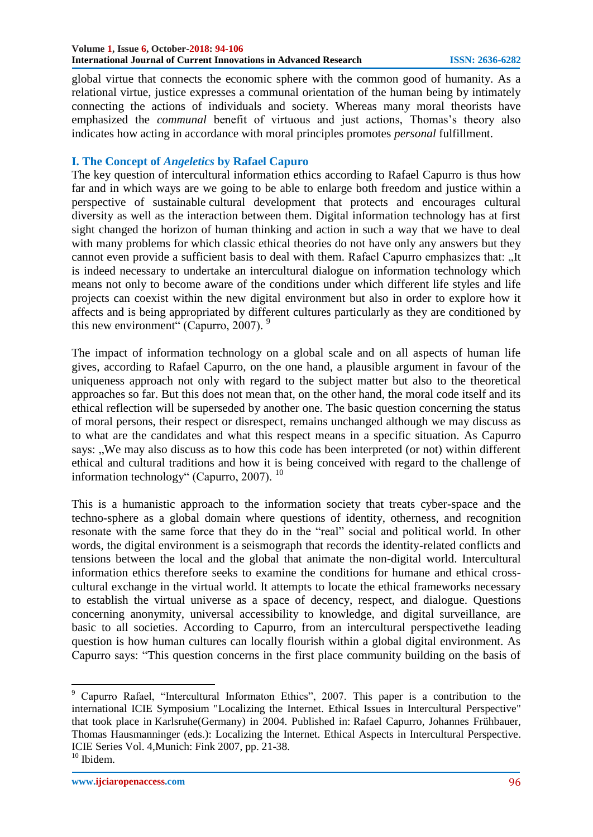global virtue that connects the economic sphere with the common good of humanity. As a relational virtue, justice expresses a communal orientation of the human being by intimately connecting the actions of individuals and society. Whereas many moral theorists have emphasized the *communal* benefit of virtuous and just actions, Thomas's theory also indicates how acting in accordance with moral principles promotes *personal* fulfillment.

#### **I. The Concept of** *Angeletics* **by Rafael Capuro**

The key question of intercultural information ethics according to Rafael Capurro is thus how far and in which ways are we going to be able to enlarge both freedom and justice within a perspective of sustainable cultural development that protects and encourages cultural diversity as well as the interaction between them. Digital information technology has at first sight changed the horizon of human thinking and action in such a way that we have to deal with many problems for which classic ethical theories do not have only any answers but they cannot even provide a sufficient basis to deal with them. Rafael Capurro emphasizes that: "It is indeed necessary to undertake an intercultural dialogue on information technology which means not only to become aware of the conditions under which different life styles and life projects can coexist within the new digital environment but also in order to explore how it affects and is being appropriated by different cultures particularly as they are conditioned by this new environment" (Capurro, 2007).  $9$ 

The impact of information technology on a global scale and on all aspects of human life gives, according to Rafael Capurro, on the one hand, a plausible argument in favour of the uniqueness approach not only with regard to the subject matter but also to the theoretical approaches so far. But this does not mean that, on the other hand, the moral code itself and its ethical reflection will be superseded by another one. The basic question concerning the status of moral persons, their respect or disrespect, remains unchanged although we may discuss as to what are the candidates and what this respect means in a specific situation. As Capurro says: ..We may also discuss as to how this code has been interpreted (or not) within different ethical and cultural traditions and how it is being conceived with regard to the challenge of information technology" (Capurro, 2007).  $10$ 

This is a humanistic approach to the information society that treats cyber-space and the techno-sphere as a global domain where questions of identity, otherness, and recognition resonate with the same force that they do in the "real" social and political world. In other words, the digital environment is a seismograph that records the identity-related conflicts and tensions between the local and the global that animate the non-digital world. Intercultural information ethics therefore seeks to examine the conditions for humane and ethical crosscultural exchange in the virtual world. It attempts to locate the ethical frameworks necessary to establish the virtual universe as a space of decency, respect, and dialogue. Questions concerning anonymity, universal accessibility to knowledge, and digital surveillance, are basic to all societies. According to Capurro, from an intercultural perspectivethe leading question is how human cultures can locally flourish within a global digital environment. As Capurro says: "This question concerns in the first place community building on the basis of

<sup>&</sup>lt;sup>9</sup> Capurro Rafael, "Intercultural Informaton Ethics", 2007. This paper is a contribution to the international ICIE Symposium ["Localizing the Internet. Ethical Issues in Intercultural Perspective"](http://icie.zkm.de/meetings) that took place in Karlsruhe(Germany) in 2004. Published in: [Rafael Capurro, Johannes Frühbauer,](http://icie.zkm.de/ICIEbooksVol4)  [Thomas Hausmanninger \(eds.\): Localizing the Internet. Ethical Aspects in Intercultural Perspective.](http://icie.zkm.de/ICIEbooksVol4) ICIE Series Vol. 4,Munich: Fink 2007, pp. 21-38.

 $^{10}$  Ibidem.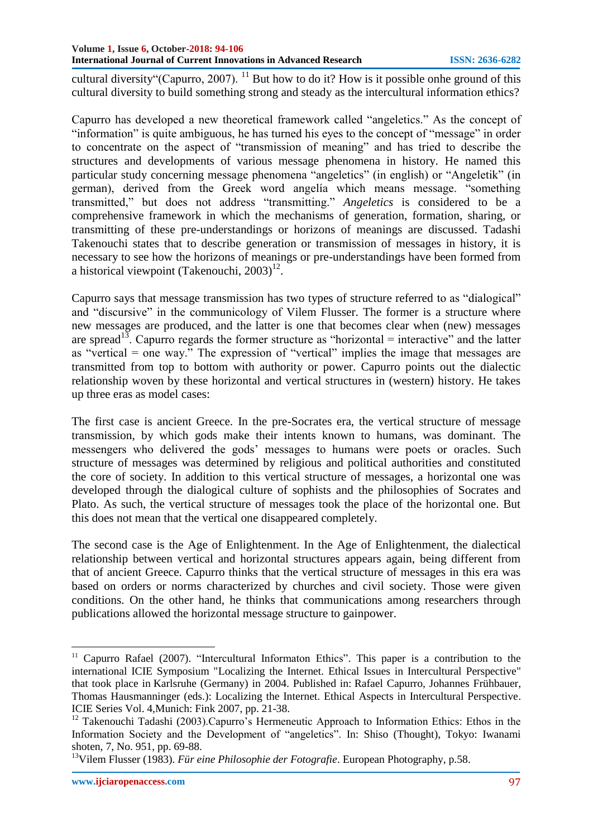cultural diversity"(Capurro, 2007). <sup>11</sup> But how to do it? How is it possible onhe ground of this cultural diversity to build something strong and steady as the intercultural information ethics?

Capurro has developed a new theoretical framework called "angeletics." As the concept of "information" is quite ambiguous, he has turned his eyes to the concept of "message" in order to concentrate on the aspect of "transmission of meaning" and has tried to describe the structures and developments of various message phenomena in history. He named this particular study concerning message phenomena "angeletics" (in english) or "Angeletik" (in german), derived from the Greek word angelia which means message. "something transmitted," but does not address "transmitting." *Angeletics* is considered to be a comprehensive framework in which the mechanisms of generation, formation, sharing, or transmitting of these pre-understandings or horizons of meanings are discussed. Tadashi Takenouchi states that to describe generation or transmission of messages in history, it is necessary to see how the horizons of meanings or pre-understandings have been formed from a historical viewpoint (Takenouchi,  $2003$ )<sup>12</sup>.

Capurro says that message transmission has two types of structure referred to as "dialogical" and "discursive" in the communicology of Vilem Flusser. The former is a structure where new messages are produced, and the latter is one that becomes clear when (new) messages are spread<sup>13</sup>. Capurro regards the former structure as "horizontal = interactive" and the latter as "vertical  $=$  one way." The expression of "vertical" implies the image that messages are transmitted from top to bottom with authority or power. Capurro points out the dialectic relationship woven by these horizontal and vertical structures in (western) history. He takes up three eras as model cases:

The first case is ancient Greece. In the pre-Socrates era, the vertical structure of message transmission, by which gods make their intents known to humans, was dominant. The messengers who delivered the gods' messages to humans were poets or oracles. Such structure of messages was determined by religious and political authorities and constituted the core of society. In addition to this vertical structure of messages, a horizontal one was developed through the dialogical culture of sophists and the philosophies of Socrates and Plato. As such, the vertical structure of messages took the place of the horizontal one. But this does not mean that the vertical one disappeared completely.

The second case is the Age of Enlightenment. In the Age of Enlightenment, the dialectical relationship between vertical and horizontal structures appears again, being different from that of ancient Greece. Capurro thinks that the vertical structure of messages in this era was based on orders or norms characterized by churches and civil society. Those were given conditions. On the other hand, he thinks that communications among researchers through publications allowed the horizontal message structure to gainpower.

 $11$  Capurro Rafael (2007). "Intercultural Informaton Ethics". This paper is a contribution to the international ICIE Symposium ["Localizing the Internet. Ethical Issues in Intercultural Perspective"](http://icie.zkm.de/meetings) that took place in Karlsruhe (Germany) in 2004. Published in: [Rafael Capurro, Johannes Frühbauer,](http://icie.zkm.de/ICIEbooksVol4)  [Thomas Hausmanninger \(eds.\): Localizing the Internet. Ethical Aspects in Intercultural Perspective.](http://icie.zkm.de/ICIEbooksVol4) ICIE Series Vol. 4,Munich: Fink 2007, pp. 21-38.

<sup>&</sup>lt;sup>12</sup> Takenouchi Tadashi (2003).Capurro's Hermeneutic Approach to Information Ethics: Ethos in the Information Society and the Development of "angeletics". In: Shiso (Thought), Tokyo: Iwanami shoten, 7, No. 951, pp. 69-88.

<sup>&</sup>lt;sup>13</sup>Vilem Flusser (1983). *[Für eine Philosophie der Fotografie](http://monoskop.org/log/?p=77)*. European Photography, p.58.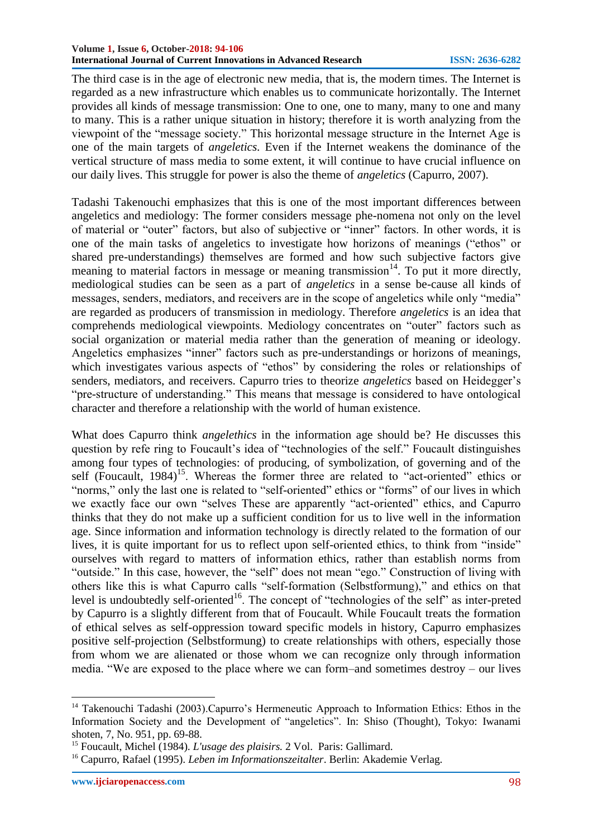#### **Volume 1, Issue 6, October-2018: 94-106 International Journal of Current Innovations in Advanced Research ISSN: 2636-6282**

The third case is in the age of electronic new media, that is, the modern times. The Internet is regarded as a new infrastructure which enables us to communicate horizontally. The Internet provides all kinds of message transmission: One to one, one to many, many to one and many to many. This is a rather unique situation in history; therefore it is worth analyzing from the viewpoint of the "message society." This horizontal message structure in the Internet Age is one of the main targets of *angeletics.* Even if the Internet weakens the dominance of the vertical structure of mass media to some extent, it will continue to have crucial influence on our daily lives. This struggle for power is also the theme of *angeletics* (Capurro, 2007).

Tadashi Takenouchi emphasizes that this is one of the most important differences between angeletics and mediology: The former considers message phe-nomena not only on the level of material or "outer" factors, but also of subjective or "inner" factors. In other words, it is one of the main tasks of angeletics to investigate how horizons of meanings ("ethos" or shared pre-understandings) themselves are formed and how such subjective factors give meaning to material factors in message or meaning transmission<sup>14</sup>. To put it more directly, mediological studies can be seen as a part of *angeletics* in a sense be-cause all kinds of messages, senders, mediators, and receivers are in the scope of angeletics while only "media" are regarded as producers of transmission in mediology. Therefore *angeletics* is an idea that comprehends mediological viewpoints. Mediology concentrates on "outer" factors such as social organization or material media rather than the generation of meaning or ideology. Angeletics emphasizes "inner" factors such as pre-understandings or horizons of meanings, which investigates various aspects of "ethos" by considering the roles or relationships of senders, mediators, and receivers. Capurro tries to theorize *angeletics* based on Heidegger's "pre-structure of understanding." This means that message is considered to have ontological character and therefore a relationship with the world of human existence.

What does Capurro think *angelethics* in the information age should be? He discusses this question by refe ring to Foucault's idea of "technologies of the self." Foucault distinguishes among four types of technologies: of producing, of symbolization, of governing and of the self (Foucault,  $1984$ )<sup>15</sup>. Whereas the former three are related to "act-oriented" ethics or "norms," only the last one is related to "self-oriented" ethics or "forms" of our lives in which we exactly face our own "selves These are apparently "act-oriented" ethics, and Capurro thinks that they do not make up a sufficient condition for us to live well in the information age. Since information and information technology is directly related to the formation of our lives, it is quite important for us to reflect upon self-oriented ethics, to think from "inside" ourselves with regard to matters of information ethics, rather than establish norms from "outside." In this case, however, the "self" does not mean "ego." Construction of living with others like this is what Capurro calls "self-formation (Selbstformung)," and ethics on that level is undoubtedly self-oriented<sup>16</sup>. The concept of "technologies of the self" as inter-preted by Capurro is a slightly different from that of Foucault. While Foucault treats the formation of ethical selves as self-oppression toward specific models in history, Capurro emphasizes positive self-projection (Selbstformung) to create relationships with others, especially those from whom we are alienated or those whom we can recognize only through information media. "We are exposed to the place where we can form–and sometimes destroy – our lives

**.** 

<sup>&</sup>lt;sup>14</sup> Takenouchi Tadashi (2003).Capurro's Hermeneutic Approach to Information Ethics: Ethos in the Information Society and the Development of "angeletics". In: Shiso (Thought), Tokyo: Iwanami shoten, 7, No. 951, pp. 69-88.

<sup>15</sup> Foucault, Michel (1984). *L'usage des plaisirs.* 2 Vol. Paris: Gallimard.

<sup>16</sup> Capurro, Rafael (1995). *Leben im Informationszeitalter*. Berlin: Akademie Verlag.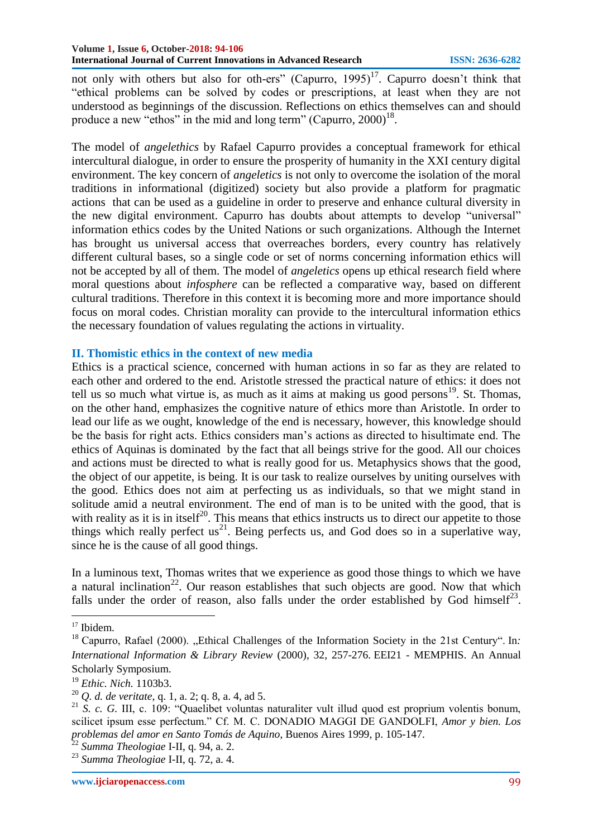not only with others but also for oth-ers" (Capurro, 1995)<sup>17</sup>. Capurro doesn't think that ―ethical problems can be solved by codes or prescriptions, at least when they are not understood as beginnings of the discussion. Reflections on ethics themselves can and should produce a new "ethos" in the mid and long term" (Capurro,  $2000$ )<sup>18</sup>.

The model of *angelethics* by Rafael Capurro provides a conceptual framework for ethical intercultural dialogue, in order to ensure the prosperity of humanity in the XXI century digital environment. The key concern of *angeletics* is not only to overcome the isolation of the moral traditions in informational (digitized) society but also provide a platform for pragmatic actions that can be used as a guideline in order to preserve and enhance cultural diversity in the new digital environment. Capurro has doubts about attempts to develop "universal" information ethics codes by the United Nations or such organizations. Although the Internet has brought us universal access that overreaches borders, every country has relatively different cultural bases, so a single code or set of norms concerning information ethics will not be accepted by all of them. The model of *angeletics* opens up ethical research field where moral questions about *infosphere* can be reflected a comparative way, based on different cultural traditions. Therefore in this context it is becoming more and more importance should focus on moral codes. Christian morality can provide to the intercultural information ethics the necessary foundation of values regulating the actions in virtuality.

#### **II. Thomistic ethics in the context of new media**

Ethics is a practical science, concerned with human actions in so far as they are related to each other and ordered to the end. Aristotle stressed the practical nature of ethics: it does not tell us so much what virtue is, as much as it aims at making us good persons $19$ . St. Thomas, on the other hand, emphasizes the cognitive nature of ethics more than Aristotle. In order to lead our life as we ought, knowledge of the end is necessary, however, this knowledge should be the basis for right acts. Ethics considers man's actions as directed to hisultimate end. The ethics of Aquinas is dominated by the fact that all beings strive for the good. All our choices and actions must be directed to what is really good for us. Metaphysics shows that the good, the object of our appetite, is being. It is our task to realize ourselves by uniting ourselves with the good. Ethics does not aim at perfecting us as individuals, so that we might stand in solitude amid a neutral environment. The end of man is to be united with the good, that is with reality as it is in itself<sup>20</sup>. This means that ethics instructs us to direct our appetite to those things which really perfect us<sup>21</sup>. Being perfects us, and God does so in a superlative way, since he is the cause of all good things.

In a luminous text, Thomas writes that we experience as good those things to which we have a natural inclination<sup>22</sup>. Our reason establishes that such objects are good. Now that which falls under the order of reason, also falls under the order established by God himself<sup>23</sup>.

<sup>1</sup> <sup>17</sup> Ibidem.

<sup>&</sup>lt;sup>18</sup> Capurro, Rafael (2000). "Ethical Challenges of the Information Society in the 21st Century". In: *International Information & Library Review* (2000), 32, 257-276. EEI21 - [MEMPHIS. An Annual](http://www.memphis.edu/ethics21/)  [Scholarly Symposium.](http://www.memphis.edu/ethics21/)

<sup>19</sup> *Ethic. Nich.* 1103b3.

<sup>20</sup> *Q. d. de veritate*, q. 1, a. 2; q. 8, a. 4, ad 5.

<sup>&</sup>lt;sup>21</sup> *S. c. G. III, c. 109: "Quaelibet voluntas naturaliter vult illud quod est proprium volentis bonum,* scilicet ipsum esse perfectum." Cf. M. C. DONADIO MAGGI DE GANDOLFI, *Amor y bien. Los problemas del amor en Santo Tomás de Aquino*, Buenos Aires 1999, p. 105-147.

<sup>22</sup> *Summa Theologiae* I-II, q. 94, a. 2.

<sup>23</sup> *Summa Theologiae* I-II, q. 72, a. 4.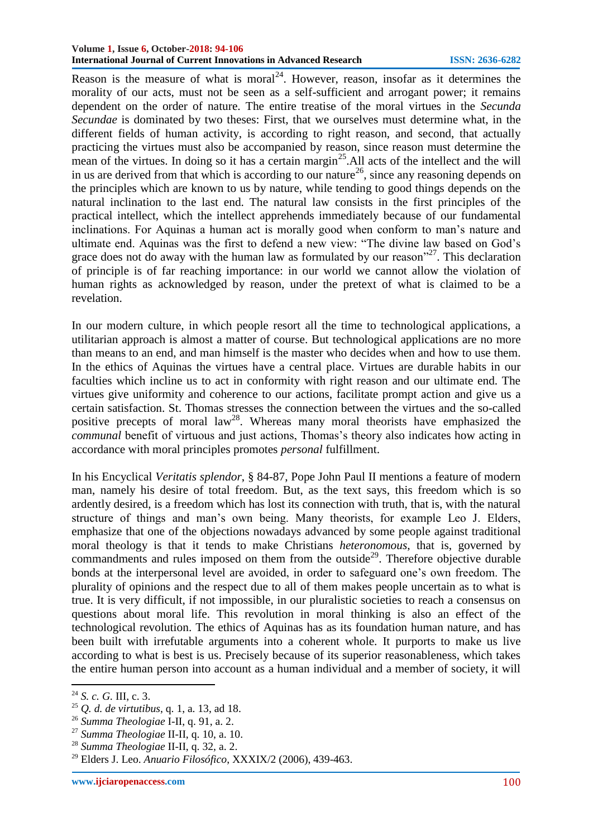Reason is the measure of what is moral<sup>24</sup>. However, reason, insofar as it determines the morality of our acts, must not be seen as a self-sufficient and arrogant power; it remains dependent on the order of nature. The entire treatise of the moral virtues in the *Secunda Secundae* is dominated by two theses: First, that we ourselves must determine what, in the different fields of human activity, is according to right reason, and second, that actually practicing the virtues must also be accompanied by reason, since reason must determine the mean of the virtues. In doing so it has a certain margin<sup>25</sup>. All acts of the intellect and the will in us are derived from that which is according to our nature<sup>26</sup>, since any reasoning depends on the principles which are known to us by nature, while tending to good things depends on the natural inclination to the last end. The natural law consists in the first principles of the practical intellect, which the intellect apprehends immediately because of our fundamental inclinations. For Aquinas a human act is morally good when conform to man's nature and ultimate end. Aquinas was the first to defend a new view: "The divine law based on God's grace does not do away with the human law as formulated by our reason<sup>327</sup>. This declaration of principle is of far reaching importance: in our world we cannot allow the violation of human rights as acknowledged by reason, under the pretext of what is claimed to be a revelation.

In our modern culture, in which people resort all the time to technological applications, a utilitarian approach is almost a matter of course. But technological applications are no more than means to an end, and man himself is the master who decides when and how to use them. In the ethics of Aquinas the virtues have a central place. Virtues are durable habits in our faculties which incline us to act in conformity with right reason and our ultimate end. The virtues give uniformity and coherence to our actions, facilitate prompt action and give us a certain satisfaction. St. Thomas stresses the connection between the virtues and the so-called positive precepts of moral  $law^{28}$ . Whereas many moral theorists have emphasized the *communal* benefit of virtuous and just actions, Thomas's theory also indicates how acting in accordance with moral principles promotes *personal* fulfillment.

In his Encyclical *Veritatis splendor*, § 84-87, Pope John Paul II mentions a feature of modern man, namely his desire of total freedom. But, as the text says, this freedom which is so ardently desired, is a freedom which has lost its connection with truth, that is, with the natural structure of things and man's own being. Many theorists, for example Leo J. Elders, emphasize that one of the objections nowadays advanced by some people against traditional moral theology is that it tends to make Christians *heteronomous*, that is, governed by commandments and rules imposed on them from the outside<sup>29</sup>. Therefore objective durable bonds at the interpersonal level are avoided, in order to safeguard one's own freedom. The plurality of opinions and the respect due to all of them makes people uncertain as to what is true. It is very difficult, if not impossible, in our pluralistic societies to reach a consensus on questions about moral life. This revolution in moral thinking is also an effect of the technological revolution. The ethics of Aquinas has as its foundation human nature, and has been built with irrefutable arguments into a coherent whole. It purports to make us live according to what is best is us. Precisely because of its superior reasonableness, which takes the entire human person into account as a human individual and a member of society, it will

<sup>&</sup>lt;sup>24</sup> *S. c. G. III, c.* 3.

<sup>25</sup> *Q. d. de virtutibus*, q. 1, a. 13, ad 18.

<sup>26</sup> *Summa Theologiae* I-II, q. 91, a. 2.

<sup>27</sup> *Summa Theologiae* II-II, q. 10, a. 10.

<sup>28</sup> *Summa Theologiae* II-II, q. 32, a. 2.

<sup>29</sup> Elders J. Leo. *Anuario Filosófico*, XXXIX/2 (2006), 439-463.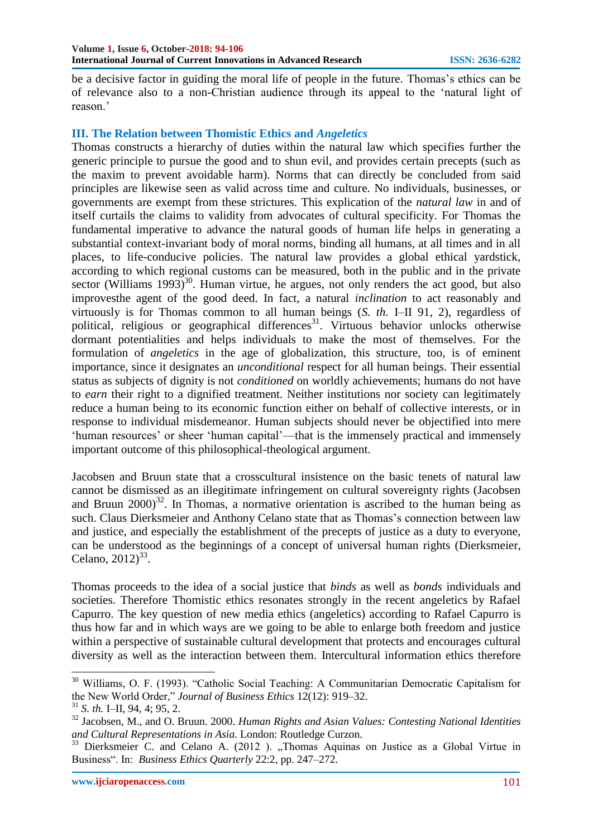be a decisive factor in guiding the moral life of people in the future. Thomas's ethics can be of relevance also to a non-Christian audience through its appeal to the 'natural light of reason.'

### **III. The Relation between Thomistic Ethics and** *Angeletics*

Thomas constructs a hierarchy of duties within the natural law which specifies further the generic principle to pursue the good and to shun evil, and provides certain precepts (such as the maxim to prevent avoidable harm). Norms that can directly be concluded from said principles are likewise seen as valid across time and culture. No individuals, businesses, or governments are exempt from these strictures. This explication of the *natural law* in and of itself curtails the claims to validity from advocates of cultural specificity. For Thomas the fundamental imperative to advance the natural goods of human life helps in generating a substantial context-invariant body of moral norms, binding all humans, at all times and in all places, to life-conducive policies. The natural law provides a global ethical yardstick, according to which regional customs can be measured, both in the public and in the private sector (Williams 1993)<sup>30</sup>. Human virtue, he argues, not only renders the act good, but also improvesthe agent of the good deed. In fact, a natural *inclination* to act reasonably and virtuously is for Thomas common to all human beings (*S. th.* I–II 91, 2), regardless of political, religious or geographical differences<sup>31</sup>. Virtuous behavior unlocks otherwise dormant potentialities and helps individuals to make the most of themselves. For the formulation of *angeletics* in the age of globalization, this structure, too, is of eminent importance, since it designates an *unconditional* respect for all human beings. Their essential status as subjects of dignity is not *conditioned* on worldly achievements; humans do not have to *earn* their right to a dignified treatment. Neither institutions nor society can legitimately reduce a human being to its economic function either on behalf of collective interests, or in response to individual misdemeanor. Human subjects should never be objectified into mere ‗human resources' or sheer ‗human capital'—that is the immensely practical and immensely important outcome of this philosophical-theological argument.

Jacobsen and Bruun state that a crosscultural insistence on the basic tenets of natural law cannot be dismissed as an illegitimate infringement on cultural sovereignty rights (Jacobsen and Bruun  $2000^3$ <sup>32</sup>. In Thomas, a normative orientation is ascribed to the human being as such. Claus Dierksmeier and Anthony Celano state that as Thomas's connection between law and justice, and especially the establishment of the precepts of justice as a duty to everyone, can be understood as the beginnings of a concept of universal human rights (Dierksmeier, Celano,  $2012)^{33}$ .

Thomas proceeds to the idea of a social justice that *binds* as well as *bonds* individuals and societies. Therefore Thomistic ethics resonates strongly in the recent angeletics by Rafael Capurro. The key question of new media ethics (angeletics) according to Rafael Capurro is thus how far and in which ways are we going to be able to enlarge both freedom and justice within a perspective of sustainable cultural development that protects and encourages cultural diversity as well as the interaction between them. Intercultural information ethics therefore

<sup>&</sup>lt;sup>30</sup> Williams, O. F. (1993). "Catholic Social Teaching: A Communitarian Democratic Capitalism for the New World Order," *Journal of Business Ethics* 12(12): 919–32.

<sup>31</sup> *S. th.* I–II, 94, 4; 95, 2.

<sup>32</sup> Jacobsen, M., and O. Bruun. 2000. *Human Rights and Asian Values: Contesting National Identities and Cultural Representations in Asia.* London: Routledge Curzon.

 $33$  Dierksmeier C. and Celano A. (2012). "Thomas Aquinas on Justice as a Global Virtue in Business". In: *Business Ethics Quarterly 22:2*, pp. 247–272.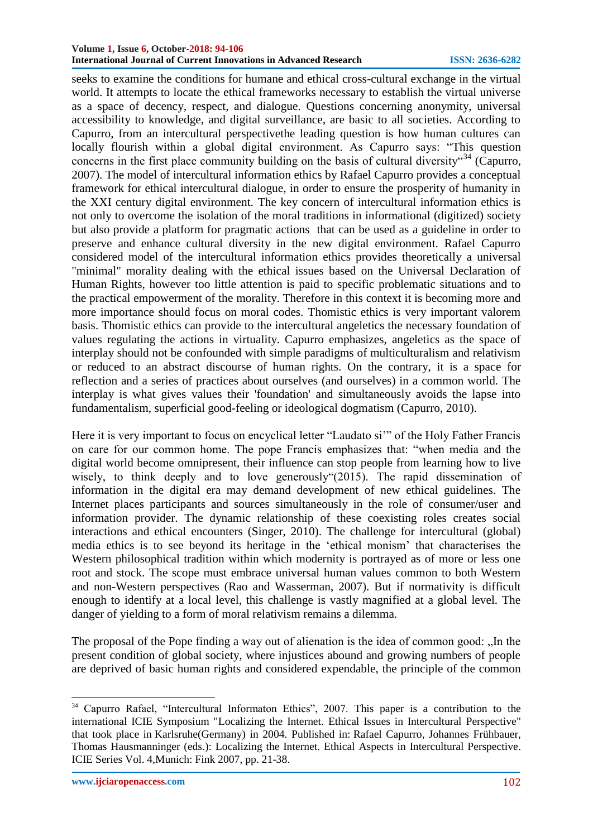#### **Volume 1, Issue 6, October-2018: 94-106 International Journal of Current Innovations in Advanced Research ISSN: 2636-6282**

seeks to examine the conditions for humane and ethical cross-cultural exchange in the virtual world. It attempts to locate the ethical frameworks necessary to establish the virtual universe as a space of decency, respect, and dialogue. Questions concerning anonymity, universal accessibility to knowledge, and digital surveillance, are basic to all societies. According to Capurro, from an intercultural perspectivethe leading question is how human cultures can locally flourish within a global digital environment. As Capurro says: "This question concerns in the first place community building on the basis of cultural diversity  $^{34}$  (Capurro, 2007). The model of intercultural information ethics by Rafael Capurro provides a conceptual framework for ethical intercultural dialogue, in order to ensure the prosperity of humanity in the XXI century digital environment. The key concern of intercultural information ethics is not only to overcome the isolation of the moral traditions in informational (digitized) society but also provide a platform for pragmatic actions that can be used as a guideline in order to preserve and enhance cultural diversity in the new digital environment. Rafael Capurro considered model of the intercultural information ethics provides theoretically a universal "minimal" morality dealing with the ethical issues based on the Universal Declaration of Human Rights, however too little attention is paid to specific problematic situations and to the practical empowerment of the morality. Therefore in this context it is becoming more and more importance should focus on moral codes. Thomistic ethics is very important valorem basis. Thomistic ethics can provide to the intercultural angeletics the necessary foundation of values regulating the actions in virtuality. Capurro emphasizes, angeletics as the space of interplay should not be confounded with simple paradigms of multiculturalism and relativism or reduced to an abstract discourse of human rights. On the contrary, it is a space for reflection and a series of practices about ourselves (and ourselves) in a common world. The interplay is what gives values their 'foundation' and simultaneously avoids the lapse into fundamentalism, superficial good-feeling or ideological dogmatism (Capurro, 2010).

Here it is very important to focus on encyclical letter "Laudato si" of the Holy Father Francis on care for our common home. The pope Francis emphasizes that: "when media and the digital world become omnipresent, their influence can stop people from learning how to live wisely, to think deeply and to love generously  $(2015)$ . The rapid dissemination of information in the digital era may demand development of new ethical guidelines. The Internet places participants and sources simultaneously in the role of consumer/user and information provider. The dynamic relationship of these coexisting roles creates social interactions and ethical encounters (Singer, 2010). The challenge for intercultural (global) media ethics is to see beyond its heritage in the 'ethical monism' that characterises the Western philosophical tradition within which modernity is portrayed as of more or less one root and stock. The scope must embrace universal human values common to both Western and non-Western perspectives (Rao and Wasserman, 2007). But if normativity is difficult enough to identify at a local level, this challenge is vastly magnified at a global level. The danger of yielding to a form of moral relativism remains a dilemma.

The proposal of the Pope finding a way out of alienation is the idea of common good: "In the present condition of global society, where injustices abound and growing numbers of people are deprived of basic human rights and considered expendable, the principle of the common

**.** 

<sup>&</sup>lt;sup>34</sup> Capurro Rafael, "Intercultural Informaton Ethics", 2007. This paper is a contribution to the international ICIE Symposium ["Localizing the Internet. Ethical Issues in Intercultural Perspective"](http://icie.zkm.de/meetings) that took place in Karlsruhe(Germany) in 2004. Published in: [Rafael Capurro, Johannes Frühbauer,](http://icie.zkm.de/ICIEbooksVol4)  [Thomas Hausmanninger \(eds.\): Localizing the Internet. Ethical Aspects in Intercultural Perspective.](http://icie.zkm.de/ICIEbooksVol4) ICIE Series Vol. 4,Munich: Fink 2007, pp. 21-38.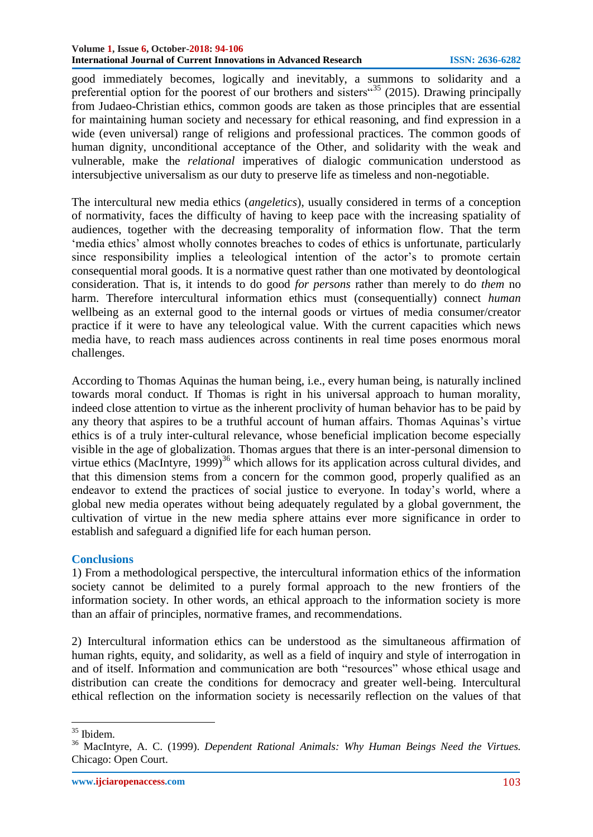good immediately becomes, logically and inevitably, a summons to solidarity and a preferential option for the poorest of our brothers and sisters<sup> $35$ </sup> (2015). Drawing principally from Judaeo-Christian ethics, common goods are taken as those principles that are essential for maintaining human society and necessary for ethical reasoning, and find expression in a wide (even universal) range of religions and professional practices. The common goods of human dignity, unconditional acceptance of the Other, and solidarity with the weak and vulnerable, make the *relational* imperatives of dialogic communication understood as intersubjective universalism as our duty to preserve life as timeless and non-negotiable.

The intercultural new media ethics (*angeletics*), usually considered in terms of a conception of normativity, faces the difficulty of having to keep pace with the increasing spatiality of audiences, together with the decreasing temporality of information flow. That the term ‗media ethics' almost wholly connotes breaches to codes of ethics is unfortunate, particularly since responsibility implies a teleological intention of the actor's to promote certain consequential moral goods. It is a normative quest rather than one motivated by deontological consideration. That is, it intends to do good *for persons* rather than merely to do *them* no harm. Therefore intercultural information ethics must (consequentially) connect *human*  wellbeing as an external good to the internal goods or virtues of media consumer/creator practice if it were to have any teleological value. With the current capacities which news media have, to reach mass audiences across continents in real time poses enormous moral challenges.

According to Thomas Aquinas the human being, i.e., every human being, is naturally inclined towards moral conduct. If Thomas is right in his universal approach to human morality, indeed close attention to virtue as the inherent proclivity of human behavior has to be paid by any theory that aspires to be a truthful account of human affairs. Thomas Aquinas's virtue ethics is of a truly inter-cultural relevance, whose beneficial implication become especially visible in the age of globalization. Thomas argues that there is an inter-personal dimension to virtue ethics (MacIntyre,  $1999$ )<sup>36</sup> which allows for its application across cultural divides, and that this dimension stems from a concern for the common good, properly qualified as an endeavor to extend the practices of social justice to everyone. In today's world, where a global new media operates without being adequately regulated by a global government, the cultivation of virtue in the new media sphere attains ever more significance in order to establish and safeguard a dignified life for each human person.

## **Conclusions**

1) From a methodological perspective, the intercultural information ethics of the information society cannot be delimited to a purely formal approach to the new frontiers of the information society. In other words, an ethical approach to the information society is more than an affair of principles, normative frames, and recommendations.

2) Intercultural information ethics can be understood as the simultaneous affirmation of human rights, equity, and solidarity, as well as a field of inquiry and style of interrogation in and of itself. Information and communication are both "resources" whose ethical usage and distribution can create the conditions for democracy and greater well-being. Intercultural ethical reflection on the information society is necessarily reflection on the values of that

<sup>1</sup> <sup>35</sup> Ibidem.

<sup>36</sup> MacIntyre, A. C. (1999). *Dependent Rational Animals: Why Human Beings Need the Virtues.*  Chicago: Open Court.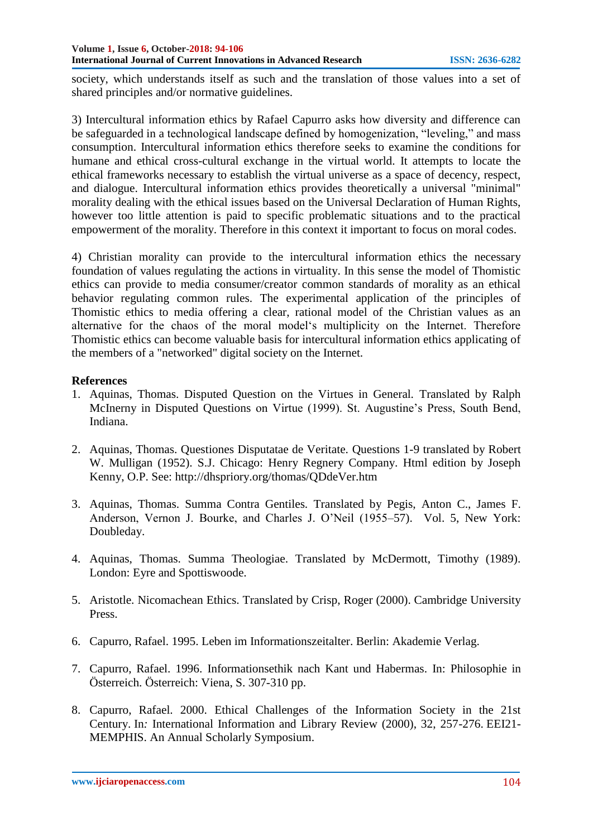society, which understands itself as such and the translation of those values into a set of shared principles and/or normative guidelines.

3) Intercultural information ethics by Rafael Capurro asks how diversity and difference can be safeguarded in a technological landscape defined by homogenization, "leveling," and mass consumption. Intercultural information ethics therefore seeks to examine the conditions for humane and ethical cross-cultural exchange in the virtual world. It attempts to locate the ethical frameworks necessary to establish the virtual universe as a space of decency, respect, and dialogue. Intercultural information ethics provides theoretically a universal "minimal" morality dealing with the ethical issues based on the Universal Declaration of Human Rights, however too little attention is paid to specific problematic situations and to the practical empowerment of the morality. Therefore in this context it important to focus on moral codes.

4) Christian morality can provide to the intercultural information ethics the necessary foundation of values regulating the actions in virtuality. In this sense the model of Thomistic ethics can provide to media consumer/creator common standards of morality as an ethical behavior regulating common rules. The experimental application of the principles of Thomistic ethics to media offering a clear, rational model of the Christian values as an alternative for the chaos of the moral model's multiplicity on the Internet. Therefore Thomistic ethics can become valuable basis for intercultural information ethics applicating of the members of a "networked" digital society on the Internet.

#### **References**

- 1. Aquinas, Thomas. Disputed Question on the Virtues in General*.* Translated by Ralph McInerny in Disputed Questions on Virtue (1999). St. Augustine's Press, South Bend, Indiana.
- 2. Aquinas, Thomas. Questiones Disputatae de Veritate*.* Questions 1-9 translated by Robert W. Mulligan (1952). S.J. Chicago: Henry Regnery Company. Html edition by Joseph Kenny, O.P. See:<http://dhspriory.org/thomas/QDdeVer.htm>
- 3. Aquinas, Thomas. Summa Contra Gentiles*.* Translated by Pegis, Anton C., James F. Anderson, Vernon J. Bourke, and Charles J. O'Neil (1955–57). Vol. 5, New York: Doubleday.
- 4. Aquinas, Thomas. Summa Theologiae. Translated by McDermott, Timothy (1989). London: Eyre and Spottiswoode.
- 5. Aristotle. Nicomachean Ethics. Translated by Crisp, Roger (2000). Cambridge University Press.
- 6. Capurro, Rafael. 1995. Leben im Informationszeitalter. Berlin: Akademie Verlag.
- 7. Capurro, Rafael. 1996. [Informationsethik nach Kant und Habermas.](http://www.capurro.de/graz.html) In: Philosophie in Österreich. Österreich: Viena, S. 307-310 pp.
- 8. Capurro, Rafael. 2000. [Ethical Challenges of the Information Society in the 21st](http://www.capurro.de/EEI21.htm)  [Century.](http://www.capurro.de/EEI21.htm) In*:* International Information and Library Review (2000), 32, 257-276. [EEI21-](http://www.memphis.edu/ethics21/) [MEMPHIS. An Annual Scholarly Symposium.](http://www.memphis.edu/ethics21/)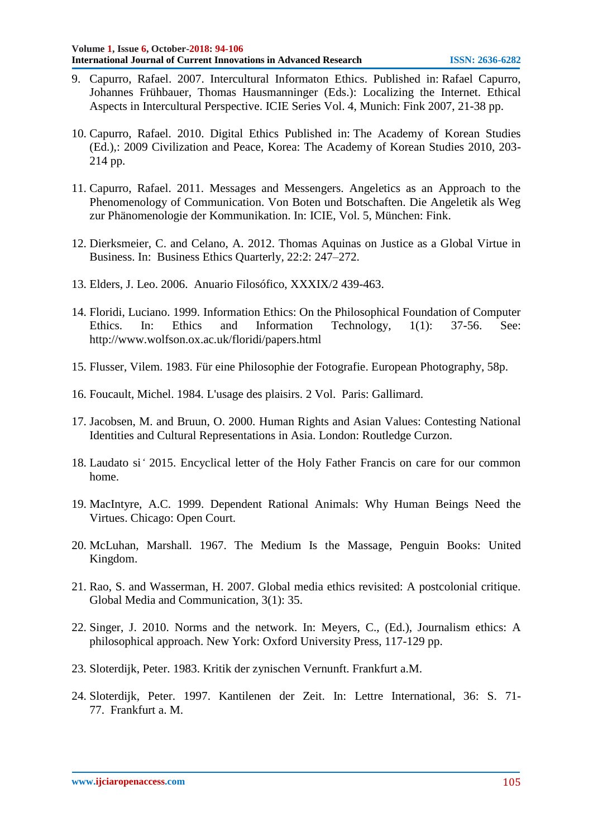- 9. Capurro, Rafael. 2007. Intercultural Informaton Ethics. Published in: [Rafael Capurro,](http://icie.zkm.de/ICIEbooksVol4)  [Johannes Frühbauer, Thomas Hausmanninger \(Eds.\): Localizing the Internet. Ethical](http://icie.zkm.de/ICIEbooksVol4)  [Aspects in Intercultural Perspective.](http://icie.zkm.de/ICIEbooksVol4) ICIE Series Vol. 4, Munich: Fink 2007, 21-38 pp.
- 10. Capurro, Rafael. 2010. Digital Ethics Published in: The Academy of Korean Studies (Ed.),: 2009 Civilization and Peace, Korea: The Academy of Korean Studies 2010, 203- 214 pp.
- 11. Capurro, Rafael. 2011. [Messages and Messengers. Angeletics as an Approach to the](http://www.fink.de/katalog/titel/978-3-7705-5047-0.html)  [Phenomenology of Communication. Von Boten und Botschaften. Die Angeletik als Weg](http://www.fink.de/katalog/titel/978-3-7705-5047-0.html)  [zur Phänomenologie der Kommunikation.](http://www.fink.de/katalog/titel/978-3-7705-5047-0.html) In: ICIE, Vol. 5, München: Fink.
- 12. Dierksmeier, C. and Celano, A. 2012. Thomas Aquinas on Justice as a Global Virtue in Business. In: Business Ethics Quarterly*,* 22:2: 247–272.
- 13. Elders, J. Leo. 2006. Anuario Filosófico, XXXIX/2 439-463.
- 14. Floridi, Luciano. 1999. Information Ethics: On the Philosophical Foundation of Computer Ethics. In: Ethics and Information Technology, 1(1): 37-56. See: [http://www.wolfson.ox.ac.uk/floridi/papers.html](http://www.wolfson.ox.ac.uk/floridi/papers.htm)
- 15. Flusser, Vilem. 1983. [Für eine Philosophie der Fotografie.](http://monoskop.org/log/?p=77) European Photography, 58p.
- 16. Foucault, Michel. 1984. L'usage des plaisirs. 2 Vol. Paris: Gallimard.
- 17. Jacobsen, M. and Bruun, O. 2000. Human Rights and Asian Values: Contesting National Identities and Cultural Representations in Asia. London: Routledge Curzon.
- 18. Laudato si*'* 2015. Encyclical letter of the Holy Father Francis on care for our common home.
- 19. MacIntyre, A.C. 1999. Dependent Rational Animals: Why Human Beings Need the Virtues. Chicago: Open Court.
- 20. McLuhan, Marshall. 1967. The Medium Is the Massage, Penguin Books: United Kingdom.
- 21. Rao, S. and Wasserman, H. 2007. Global media ethics revisited: A postcolonial critique. Global Media and Communication*,* 3(1): 35.
- 22. Singer, J. 2010. Norms and the network. In: Meyers, C., (Ed.), Journalism ethics: A philosophical approach. New York: Oxford University Press, 117-129 pp.
- 23. Sloterdijk, Peter. 1983. Kritik der zynischen Vernunft. Frankfurt a.M.
- 24. Sloterdijk, Peter. 1997. Kantilenen der Zeit. In: Lettre International, 36: S. 71- 77. Frankfurt a. M.